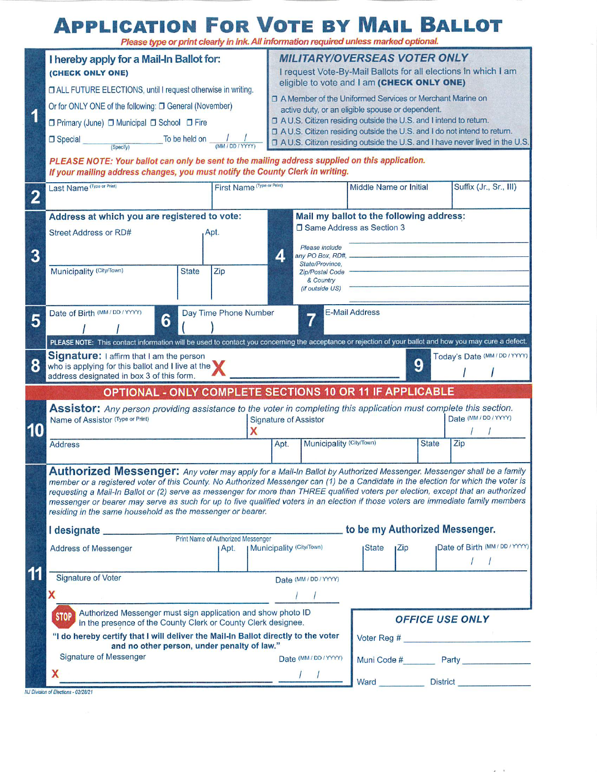# **APPLICATION FOR VOTE BY MAIL BALLOT**

|                         | I hereby apply for a Mail-In Ballot for:<br>(CHECK ONLY ONE)<br>D ALL FUTURE ELECTIONS, until I request otherwise in writing.                                                                                                                                            |                            |   | <b>MILITARY/OVERSEAS VOTER ONLY</b>                                                                                                                                        |                                    |                                    |                 |                                |  |
|-------------------------|--------------------------------------------------------------------------------------------------------------------------------------------------------------------------------------------------------------------------------------------------------------------------|----------------------------|---|----------------------------------------------------------------------------------------------------------------------------------------------------------------------------|------------------------------------|------------------------------------|-----------------|--------------------------------|--|
|                         |                                                                                                                                                                                                                                                                          |                            |   | I request Vote-By-Mail Ballots for all elections in which I am<br>eligible to vote and I am (CHECK ONLY ONE)<br>□ A Member of the Uniformed Services or Merchant Marine on |                                    |                                    |                 |                                |  |
|                         |                                                                                                                                                                                                                                                                          |                            |   |                                                                                                                                                                            |                                    |                                    |                 |                                |  |
| 1                       | Or for ONLY ONE of the following: [ General (November)                                                                                                                                                                                                                   |                            |   | active duty, or an eligible spouse or dependent.                                                                                                                           |                                    |                                    |                 |                                |  |
|                         | □ Primary (June) □ Municipal □ School □ Fire                                                                                                                                                                                                                             |                            |   | □ A U.S. Citizen residing outside the U.S. and I intend to return.<br>□ A U.S. Citizen residing outside the U.S. and I do not intend to return.                            |                                    |                                    |                 |                                |  |
|                         | To be held on<br><b>Special</b><br>(Specify)                                                                                                                                                                                                                             |                            |   | D A U.S. Citizen residing outside the U.S. and I have never lived in the U.S.                                                                                              |                                    |                                    |                 |                                |  |
|                         | PLEASE NOTE: Your ballot can only be sent to the mailing address supplied on this application.<br>If your mailing address changes, you must notify the County Clerk in writing.                                                                                          |                            |   |                                                                                                                                                                            |                                    |                                    |                 |                                |  |
| $\overline{\mathbf{2}}$ | Last Name (Type or Print)                                                                                                                                                                                                                                                | First Name (Type or Print) |   |                                                                                                                                                                            |                                    | Middle Name or Initial             |                 | Suffix (Jr., Sr., III)         |  |
| 3                       | Address at which you are registered to vote:                                                                                                                                                                                                                             |                            |   | Mail my ballot to the following address:                                                                                                                                   |                                    |                                    |                 |                                |  |
|                         | Street Address or RD#<br>Apt.                                                                                                                                                                                                                                            |                            |   | □ Same Address as Section 3                                                                                                                                                |                                    |                                    |                 |                                |  |
|                         |                                                                                                                                                                                                                                                                          |                            | 4 |                                                                                                                                                                            | Please include<br>any PO Box, RD#, |                                    |                 |                                |  |
|                         | Municipality (City/Town)<br><b>State</b>                                                                                                                                                                                                                                 | Zip                        |   |                                                                                                                                                                            | State/Province,<br>Zip/Postal Code |                                    |                 |                                |  |
|                         |                                                                                                                                                                                                                                                                          |                            |   |                                                                                                                                                                            | & Country<br>(if outside US)       |                                    |                 |                                |  |
|                         |                                                                                                                                                                                                                                                                          |                            |   |                                                                                                                                                                            |                                    |                                    |                 |                                |  |
| 5                       | Date of Birth (MM/DD/YYYY)<br>Day Time Phone Number<br>6                                                                                                                                                                                                                 |                            |   |                                                                                                                                                                            |                                    | <b>E-Mail Address</b>              |                 |                                |  |
|                         | PLEASE NOTE: This contact information will be used to contact you concerning the acceptance or rejection of your ballot and how you may cure a defect.                                                                                                                   |                            |   |                                                                                                                                                                            |                                    |                                    |                 |                                |  |
|                         | Signature: I affirm that I am the person                                                                                                                                                                                                                                 |                            |   |                                                                                                                                                                            |                                    |                                    |                 | Today's Date (MM / DD / YYYY)  |  |
| 8                       | who is applying for this ballot and I live at the                                                                                                                                                                                                                        |                            |   |                                                                                                                                                                            |                                    |                                    | 9               |                                |  |
|                         |                                                                                                                                                                                                                                                                          |                            |   |                                                                                                                                                                            |                                    |                                    |                 |                                |  |
|                         | address designated in box 3 of this form.                                                                                                                                                                                                                                |                            |   |                                                                                                                                                                            |                                    |                                    |                 |                                |  |
|                         | OPTIONAL - ONLY COMPLETE SECTIONS 10 OR 11 IF APPLICABLE                                                                                                                                                                                                                 |                            |   |                                                                                                                                                                            |                                    |                                    |                 |                                |  |
|                         | Assistor: Any person providing assistance to the voter in completing this application must complete this section.<br>Name of Assistor (Type or Print)                                                                                                                    |                            |   | <b>Signature of Assistor</b>                                                                                                                                               |                                    |                                    |                 | Date (MM/DD/YYYY)              |  |
| 10                      |                                                                                                                                                                                                                                                                          |                            |   |                                                                                                                                                                            |                                    |                                    | <b>State</b>    |                                |  |
|                         | <b>Address</b>                                                                                                                                                                                                                                                           |                            |   | Apt.                                                                                                                                                                       | Municipality (City/Town)           |                                    |                 | Zip                            |  |
|                         | Authorized Messenger: Any voter may apply for a Mail-In Ballot by Authorized Messenger. Messenger shall be a family                                                                                                                                                      |                            |   |                                                                                                                                                                            |                                    |                                    |                 |                                |  |
|                         | member or a registered voter of this County. No Authorized Messenger can (1) be a Candidate in the election for which the voter is<br>requesting a Mail-In Ballot or (2) serve as messenger for more than THREE qualified voters per election, except that an authorized |                            |   |                                                                                                                                                                            |                                    |                                    |                 |                                |  |
|                         | messenger or bearer may serve as such for up to five qualified voters in an election if those voters are immediate family members                                                                                                                                        |                            |   |                                                                                                                                                                            |                                    |                                    |                 |                                |  |
|                         | residing in the same household as the messenger or bearer.                                                                                                                                                                                                               |                            |   |                                                                                                                                                                            |                                    |                                    |                 |                                |  |
|                         |                                                                                                                                                                                                                                                                          |                            |   |                                                                                                                                                                            |                                    | to be my Authorized Messenger.     |                 |                                |  |
|                         | <b>Address of Messenger</b>                                                                                                                                                                                                                                              | I Apt.                     |   | <b>  Municipality (City/Town)</b>                                                                                                                                          |                                    | <b>State</b><br>$I^{\mathsf{Zip}}$ |                 | Date of Birth (MM / DD / YYYY) |  |
|                         |                                                                                                                                                                                                                                                                          |                            |   |                                                                                                                                                                            |                                    |                                    |                 |                                |  |
| 11                      | <b>Signature of Voter</b>                                                                                                                                                                                                                                                |                            |   |                                                                                                                                                                            | Date (MM / DD / YYYY)              |                                    |                 |                                |  |
|                         | X                                                                                                                                                                                                                                                                        |                            |   |                                                                                                                                                                            |                                    |                                    |                 |                                |  |
|                         | Authorized Messenger must sign application and show photo ID<br><b>STOP</b><br>in the presence of the County Clerk or County Clerk designee.                                                                                                                             |                            |   |                                                                                                                                                                            |                                    |                                    |                 | <b>OFFICE USE ONLY</b>         |  |
|                         | "I do hereby certify that I will deliver the Mail-In Ballot directly to the voter                                                                                                                                                                                        |                            |   |                                                                                                                                                                            |                                    |                                    |                 |                                |  |
|                         | and no other person, under penalty of law."<br><b>Signature of Messenger</b>                                                                                                                                                                                             |                            |   |                                                                                                                                                                            | Date (MM/DD/YYYY)                  |                                    |                 |                                |  |
|                         | X                                                                                                                                                                                                                                                                        |                            |   |                                                                                                                                                                            |                                    | Ward                               | <b>District</b> | Muni Code # Party              |  |

 $x = 1$ 

NJ Division of Elections - 02/28/21